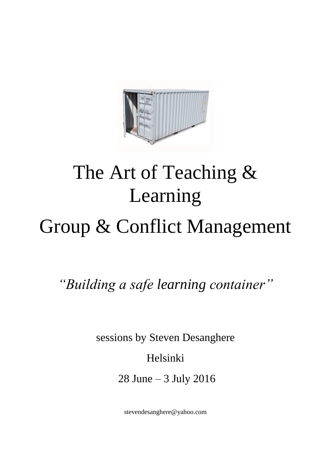

# The Art of Teaching & Learning Group & Conflict Management

*"Building a safe learning container"*

sessions by Steven Desanghere

Helsinki

28 June – 3 July 2016

stevendesanghere@yahoo.com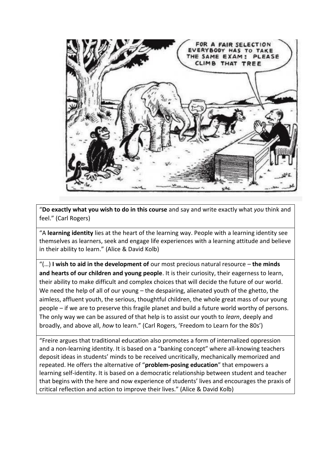

"**Do exactly what you wish to do in this course** and say and write exactly what *you* think and feel." (Carl Rogers)

"A **learning identity** lies at the heart of the learning way. People with a learning identity see themselves as learners, seek and engage life experiences with a learning attitude and believe in their ability to learn." (Alice & David Kolb)

"(…) **I wish to aid in the development of** our most precious natural resource – **the minds and hearts of our children and young people**. It is their curiosity, their eagerness to learn, their ability to make difficult and complex choices that will decide the future of our world. We need the help of all of our young – the despairing, alienated youth of the ghetto, the aimless, affluent youth, the serious, thoughtful children, the whole great mass of our young people – if we are to preserve this fragile planet and build a future world worthy of persons. The only way we can be assured of that help is to assist our youth to *learn*, deeply and broadly, and above all, *how* to learn." (Carl Rogers, 'Freedom to Learn for the 80s')

"Freire argues that traditional education also promotes a form of internalized oppression and a non-learning identity. It is based on a "banking concept" where all-knowing teachers deposit ideas in students' minds to be received uncritically, mechanically memorized and repeated. He offers the alternative of "**problem-posing education**" that empowers a learning self-identity. It is based on a democratic relationship between student and teacher that begins with the here and now experience of students' lives and encourages the praxis of critical reflection and action to improve their lives." (Alice & David Kolb)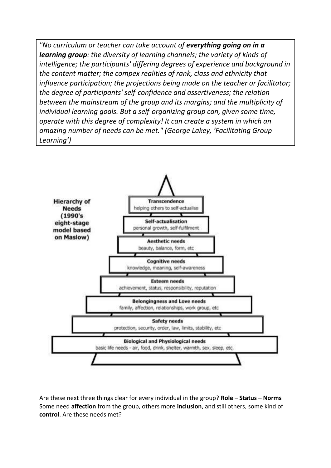*"No curriculum or teacher can take account of everything going on in a learning group: the diversity of learning channels; the variety of kinds of intelligence; the participants' differing degrees of experience and background in the content matter; the compex realities of rank, class and ethnicity that influence participation; the projections being made on the teacher or facilitator; the degree of participants' self-confidence and assertiveness; the relation between the mainstream of the group and its margins; and the multiplicity of individual learning goals. But a self-organizing group can, given some time, operate with this degree of complexity! It can create a system in which an amazing number of needs can be met." (George Lakey, 'Facilitating Group Learning')*



Are these next three things clear for every individual in the group? **Role – Status – Norms** Some need **affection** from the group, others more **inclusion**, and still others, some kind of **control**. Are these needs met?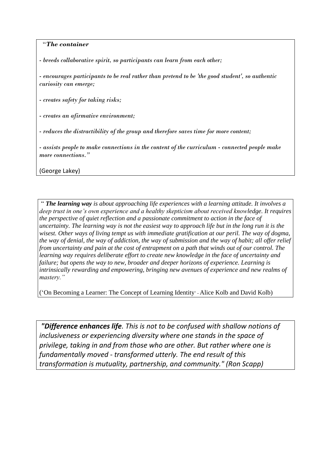"*The container*

*- breeds collaborative spirit, so participants can learn from each other;*

*- encourages participants to be real rather than pretend to be 'the good student', so authentic curiosity can emerge;*

*- creates safety for taking risks;*

*- creates an afirmative environment;*

*- reduces the distractibility of the group and therefore saves time for more content;*

*- assists people to make connections in the content of the curriculum - connected people make more connections."*

(George Lakey)

" *The learning way is about approaching life experiences with a learning attitude. It involves a deep trust in one's own experience and a healthy skepticism about received knowledge. It requires the perspective of quiet reflection and a passionate commitment to action in the face of uncertainty. The learning way is not the easiest way to approach life but in the long run it is the wisest. Other ways of living tempt us with immediate gratification at our peril. The way of dogma, the way of denial, the way of addiction, the way of submission and the way of habit; all offer relief from uncertainty and pain at the cost of entrapment on a path that winds out of our control. The learning way requires deliberate effort to create new knowledge in the face of uncertainty and failure; but opens the way to new, broader and deeper horizons of experience. Learning is intrinsically rewarding and empowering, bringing new avenues of experience and new realms of mastery."*

('On Becoming a Learner: The Concept of Learning Identity' - Alice Kolb and David Kolb)

*"Difference enhances life. This is not to be confused with shallow notions of inclusiveness or experiencing diversity where one stands in the space of privilege, taking in and from those who are other. But rather where one is fundamentally moved - transformed utterly. The end result of this transformation is mutuality, partnership, and community." (Ron Scapp)*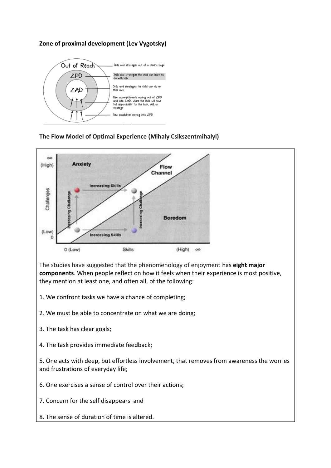## **Zone of proximal development (Lev Vygotsky)**



### **The Flow Model of Optimal Experience (Mihaly Csikszentmihalyi)**



4. The task provides immediate feedback;

5. One acts with deep, but effortless involvement, that removes from awareness the worries and frustrations of everyday life;

- 6. One exercises a sense of control over their actions;
- 7. Concern for the self disappears and
- 8. The sense of duration of time is altered.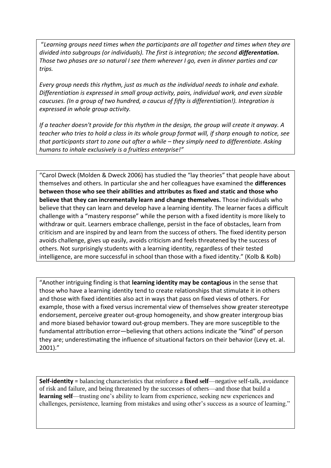"*Learning groups need times when the participants are all together and times when they are divided into subgroups (or individuals). The first is integration; the second differentation. Those two phases are so natural I see them wherever I go, even in dinner parties and car trips.*

*Every group needs this rhythm, just as much as the individual needs to inhale and exhale. Differentiation is expressed in small group activity, pairs, individual work, and even sizable caucuses. (In a group of two hundred, a caucus of fifty is differentiation!). Integration is expressed in whole group activity.*

*If a teacher doesn't provide for this rhythm in the design, the group will create it anyway. A teacher who tries to hold a class in its whole group format will, if sharp enough to notice, see that participants start to zone out after a while – they simply need to differentiate. Asking humans to inhale exclusively is a fruitless enterprise!"*

"Carol Dweck (Molden & Dweck 2006) has studied the "lay theories" that people have about themselves and others. In particular she and her colleagues have examined the **differences between those who see their abilities and attributes as fixed and static and those who believe that they can incrementally learn and change themselves.** Those individuals who believe that they can learn and develop have a learning identity. The learner faces a difficult challenge with a "mastery response" while the person with a fixed identity is more likely to withdraw or quit. Learners embrace challenge, persist in the face of obstacles, learn from criticism and are inspired by and learn from the success of others. The fixed identity person avoids challenge, gives up easily, avoids criticism and feels threatened by the success of others. Not surprisingly students with a learning identity, regardless of their tested intelligence, are more successful in school than those with a fixed identity." (Kolb & Kolb)

"Another intriguing finding is that **learning identity may be contagious** in the sense that those who have a learning identity tend to create relationships that stimulate it in others and those with fixed identities also act in ways that pass on fixed views of others. For example, those with a fixed versus incremental view of themselves show greater stereotype endorsement, perceive greater out-group homogeneity, and show greater intergroup bias and more biased behavior toward out-group members. They are more susceptible to the fundamental attribution error—believing that others actions indicate the "kind" of person they are; underestimating the influence of situational factors on their behavior (Levy et. al. 2001)."

**Self-identity** = balancing characteristics that reinforce a **fixed self**—negative self-talk, avoidance of risk and failure, and being threatened by the successes of others—and those that build a **learning self**—trusting one's ability to learn from experience, seeking new experiences and challenges, persistence, learning from mistakes and using other's success as a source of learning."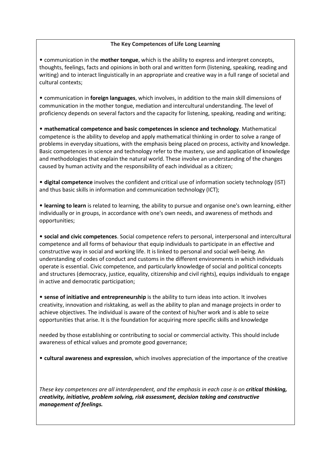#### **The Key Competences of Life Long Learning**

• communication in the **mother tongue**, which is the ability to express and interpret concepts, thoughts, feelings, facts and opinions in both oral and written form (listening, speaking, reading and writing) and to interact linguistically in an appropriate and creative way in a full range of societal and cultural contexts;

• communication in **foreign languages**, which involves, in addition to the main skill dimensions of communication in the mother tongue, mediation and intercultural understanding. The level of proficiency depends on several factors and the capacity for listening, speaking, reading and writing;

• **mathematical competence and basic competences in science and technology**. Mathematical competence is the ability to develop and apply mathematical thinking in order to solve a range of problems in everyday situations, with the emphasis being placed on process, activity and knowledge. Basic competences in science and technology refer to the mastery, use and application of knowledge and methodologies that explain the natural world. These involve an understanding of the changes caused by human activity and the responsibility of each individual as a citizen;

• **digital competence** involves the confident and critical use of information society technology (IST) and thus basic skills in information and communication technology (ICT);

• **learning to learn** is related to learning, the ability to pursue and organise one's own learning, either individually or in groups, in accordance with one's own needs, and awareness of methods and opportunities;

• **social and civic competences**. Social competence refers to personal, interpersonal and intercultural competence and all forms of behaviour that equip individuals to participate in an effective and constructive way in social and working life. It is linked to personal and social well-being. An understanding of codes of conduct and customs in the different environments in which individuals operate is essential. Civic competence, and particularly knowledge of social and political concepts and structures (democracy, justice, equality, citizenship and civil rights), equips individuals to engage in active and democratic participation;

• **sense of initiative and entrepreneurship** is the ability to turn ideas into action. It involves creativity, innovation and risktaking, as well as the ability to plan and manage projects in order to achieve objectives. The individual is aware of the context of his/her work and is able to seize opportunities that arise. It is the foundation for acquiring more specific skills and knowledge

needed by those establishing or contributing to social or commercial activity. This should include awareness of ethical values and promote good governance;

• **cultural awareness and expression**, which involves appreciation of the importance of the creative

*These key competences are all interdependent, and the emphasis in each case is on critical thinking, creativity, initiative, problem solving, risk assessment, decision taking and constructive management of feelings.*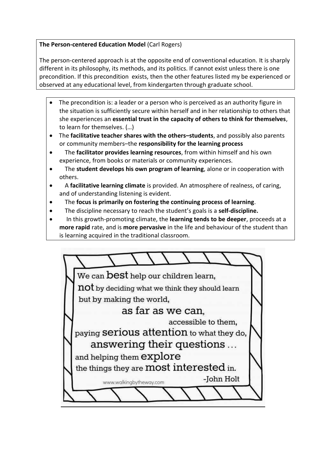# **The Person-centered Education Model** (Carl Rogers)

The person-centered approach is at the opposite end of conventional education. It is sharply different in its philosophy, its methods, and its politics. If cannot exist unless there is one precondition. If this precondition exists, then the other features listed my be experienced or observed at any educational level, from kindergarten through graduate school.

- The precondition is: a leader or a person who is perceived as an authority figure in the situation is sufficiently secure within herself and in her relationship to others that she experiences an **essential trust in the capacity of others to think for themselves**, to learn for themselves. (…)
- The **facilitative teacher shares with the others–students**, and possibly also parents or community members–the **responsibility for the learning process**
- The **facilitator provides learning resources**, from within himself and his own experience, from books or materials or community experiences.
- The **student develops his own program of learning**, alone or in cooperation with others.
- A **facilitative learning climate** is provided. An atmosphere of realness, of caring, and of understanding listening is evident.
- The **focus is primarily on fostering the continuing process of learning**.
- The discipline necessary to reach the student's goals is a **self-discipline.**
- In this growth-promoting climate, the **learning tends to be deeper**, proceeds at a **more rapid** rate, and is **more pervasive** in the life and behaviour of the student than is learning acquired in the traditional classroom.

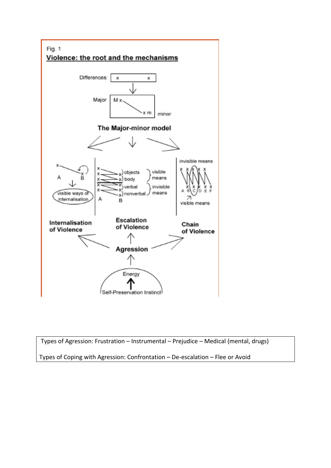

Types of Agression: Frustration – Instrumental – Prejudice – Medical (mental, drugs) Types of Coping with Agression: Confrontation – De-escalation – Flee or Avoid